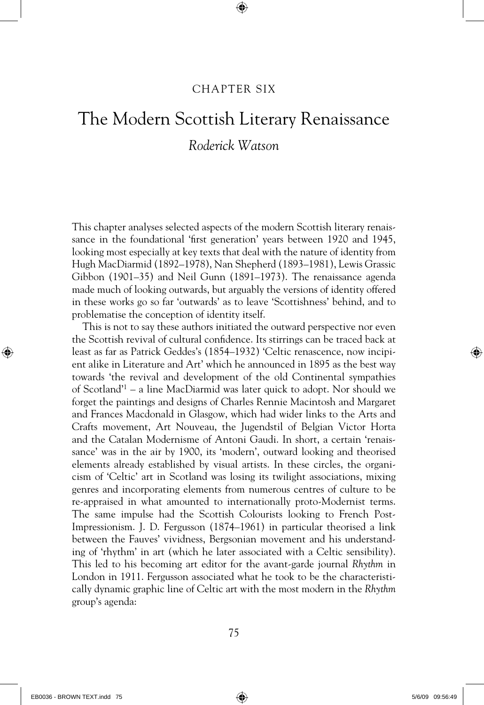## CHAPTER SIX

 $\bigoplus$ 

# The Modern Scottish Literary Renaissance *Roderick Watson*

This chapter analyses selected aspects of the modern Scottish literary renaissance in the foundational 'first generation' years between 1920 and 1945, looking most especially at key texts that deal with the nature of identity from Hugh MacDiarmid (1892–1978), Nan Shepherd (1893–1981), Lewis Grassic Gibbon (1901–35) and Neil Gunn (1891–1973). The renaissance agenda made much of looking outwards, but arguably the versions of identity offered in these works go so far 'outwards' as to leave 'Scottishness' behind, and to problematise the conception of identity itself.

This is not to say these authors initiated the outward perspective nor even the Scottish revival of cultural confidence. Its stirrings can be traced back at least as far as Patrick Geddes's (1854–1932) 'Celtic renascence, now incipient alike in Literature and Art' which he announced in 1895 as the best way towards 'the revival and development of the old Continental sympathies of Scotland'1 – a line MacDiarmid was later quick to adopt. Nor should we forget the paintings and designs of Charles Rennie Macintosh and Margaret and Frances Macdonald in Glasgow, which had wider links to the Arts and Crafts movement, Art Nouveau, the Jugendstil of Belgian Victor Horta and the Catalan Modernisme of Antoni Gaudi. In short, a certain 'renaissance' was in the air by 1900, its 'modern', outward looking and theorised elements already established by visual artists. In these circles, the organicism of 'Celtic' art in Scotland was losing its twilight associations, mixing genres and incorporating elements from numerous centres of culture to be re-appraised in what amounted to internationally proto-Modernist terms. The same impulse had the Scottish Colourists looking to French Post-Impressionism. J. D. Fergusson (1874–1961) in particular theorised a link between the Fauves' vividness, Bergsonian movement and his understanding of 'rhythm' in art (which he later associated with a Celtic sensibility). This led to his becoming art editor for the avant-garde journal *Rhythm* in London in 1911. Fergusson associated what he took to be the characteristically dynamic graphic line of Celtic art with the most modern in the *Rhythm* group's agenda:

◈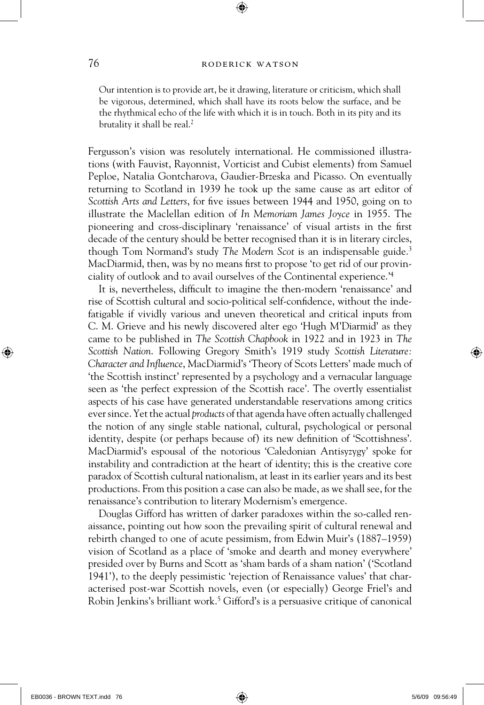## 76 roderick watson

⊕

Our intention is to provide art, be it drawing, literature or criticism, which shall be vigorous, determined, which shall have its roots below the surface, and be the rhythmical echo of the life with which it is in touch. Both in its pity and its brutality it shall be real.<sup>2</sup>

Fergusson's vision was resolutely international. He commissioned illustrations (with Fauvist, Rayonnist, Vorticist and Cubist elements) from Samuel Peploe, Natalia Gontcharova, Gaudier-Brzeska and Picasso. On eventually returning to Scotland in 1939 he took up the same cause as art editor of *Scottish Arts and Letters*, for five issues between 1944 and 1950, going on to illustrate the Maclellan edition of *In Memoriam James Joyce* in 1955. The pioneering and cross-disciplinary 'renaissance' of visual artists in the first decade of the century should be better recognised than it is in literary circles, though Tom Normand's study *The Modern Scot* is an indispensable guide.3 MacDiarmid, then, was by no means first to propose 'to get rid of our provinciality of outlook and to avail ourselves of the Continental experience.'4

It is, nevertheless, difficult to imagine the then-modern 'renaissance' and rise of Scottish cultural and socio-political self-confidence, without the indefatigable if vividly various and uneven theoretical and critical inputs from C. M. Grieve and his newly discovered alter ego 'Hugh M'Diarmid' as they came to be published in *The Scottish Chapbook* in 1922 and in 1923 in *The Scottish Nation*. Following Gregory Smith's 1919 study *Scottish Literature: Character and Infl uence*, MacDiarmid's 'Theory of Scots Letters' made much of 'the Scottish instinct' represented by a psychology and a vernacular language seen as 'the perfect expression of the Scottish race'. The overtly essentialist aspects of his case have generated understandable reservations among critics ever since. Yet the actual *products* of that agenda have often actually challenged the notion of any single stable national, cultural, psychological or personal identity, despite (or perhaps because of) its new definition of 'Scottishness'. MacDiarmid's espousal of the notorious 'Caledonian Antisyzygy' spoke for instability and contradiction at the heart of identity; this is the creative core paradox of Scottish cultural nationalism, at least in its earlier years and its best productions. From this position a case can also be made, as we shall see, for the renaissance's contribution to literary Modernism's emergence.

Douglas Gifford has written of darker paradoxes within the so-called renaissance, pointing out how soon the prevailing spirit of cultural renewal and rebirth changed to one of acute pessimism, from Edwin Muir's (1887–1959) vision of Scotland as a place of 'smoke and dearth and money everywhere' presided over by Burns and Scott as 'sham bards of a sham nation' ('Scotland 1941'), to the deeply pessimistic 'rejection of Renaissance values' that characterised post-war Scottish novels, even (or especially) George Friel's and Robin Jenkins's brilliant work.<sup>5</sup> Gifford's is a persuasive critique of canonical

⊕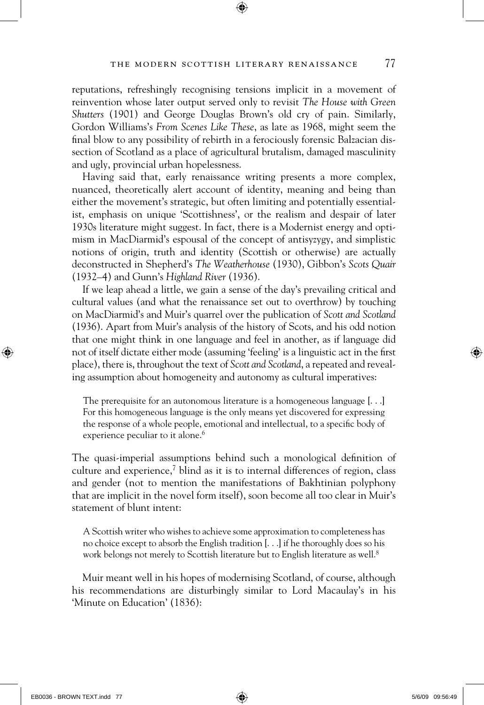reputations, refreshingly recognising tensions implicit in a movement of reinvention whose later output served only to revisit *The House with Green Shutters* (1901) and George Douglas Brown's old cry of pain. Similarly, Gordon Williams's *From Scenes Like These*, as late as 1968, might seem the final blow to any possibility of rebirth in a ferociously forensic Balzacian dissection of Scotland as a place of agricultural brutalism, damaged masculinity and ugly, provincial urban hopelessness.

Having said that, early renaissance writing presents a more complex, nuanced, theoretically alert account of identity, meaning and being than either the movement's strategic, but often limiting and potentially essentialist, emphasis on unique 'Scottishness', or the realism and despair of later 1930s literature might suggest. In fact, there is a Modernist energy and optimism in MacDiarmid's espousal of the concept of antisyzygy, and simplistic notions of origin, truth and identity (Scottish or otherwise) are actually deconstructed in Shepherd's *The Weatherhouse* (1930), Gibbon's *Scots Quair* (1932–4) and Gunn's *Highland River* (1936).

If we leap ahead a little, we gain a sense of the day's prevailing critical and cultural values (and what the renaissance set out to overthrow) by touching on MacDiarmid's and Muir's quarrel over the publication of *Scott and Scotland* (1936). Apart from Muir's analysis of the history of Scots, and his odd notion that one might think in one language and feel in another, as if language did not of itself dictate either mode (assuming 'feeling' is a linguistic act in the first place), there is, throughout the text of *Scott and Scotland*, a repeated and revealing assumption about homogeneity and autonomy as cultural imperatives:

The prerequisite for an autonomous literature is a homogeneous language [. . .] For this homogeneous language is the only means yet discovered for expressing the response of a whole people, emotional and intellectual, to a specific body of experience peculiar to it alone.<sup>6</sup>

The quasi-imperial assumptions behind such a monological definition of culture and experience, $7$  blind as it is to internal differences of region, class and gender (not to mention the manifestations of Bakhtinian polyphony that are implicit in the novel form itself), soon become all too clear in Muir's statement of blunt intent:

A Scottish writer who wishes to achieve some approximation to completeness has no choice except to absorb the English tradition [. . .] if he thoroughly does so his work belongs not merely to Scottish literature but to English literature as well.<sup>8</sup>

Muir meant well in his hopes of modernising Scotland, of course, although his recommendations are disturbingly similar to Lord Macaulay's in his 'Minute on Education' (1836):

EB0036 - BROWN TEXT.indd 77 5/6/09 09:56:49

◈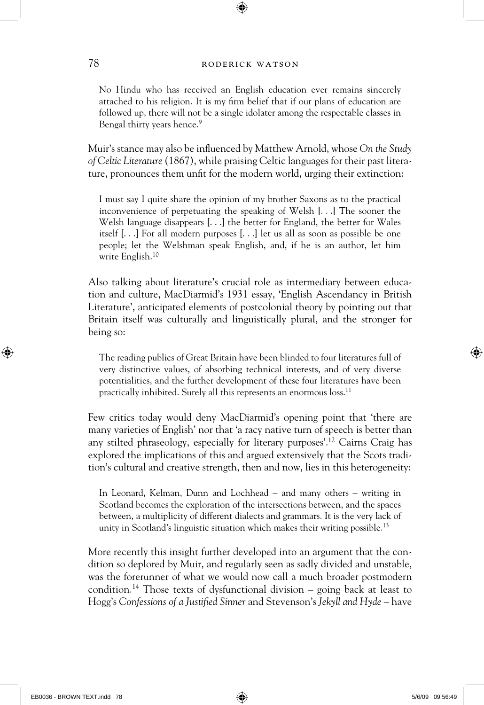## 78 roderick watson

⊕

No Hindu who has received an English education ever remains sincerely attached to his religion. It is my firm belief that if our plans of education are followed up, there will not be a single idolater among the respectable classes in Bengal thirty years hence.<sup>9</sup>

Muir's stance may also be infl uenced by Matthew Arnold, whose *On the Study of Celtic Literature* (1867), while praising Celtic languages for their past literature, pronounces them unfit for the modern world, urging their extinction:

I must say I quite share the opinion of my brother Saxons as to the practical inconvenience of perpetuating the speaking of Welsh [. . .] The sooner the Welsh language disappears [. . .] the better for England, the better for Wales itself [. . .] For all modern purposes [. . .] let us all as soon as possible be one people; let the Welshman speak English, and, if he is an author, let him write English.10

Also talking about literature's crucial role as intermediary between education and culture, MacDiarmid's 1931 essay, 'English Ascendancy in British Literature', anticipated elements of postcolonial theory by pointing out that Britain itself was culturally and linguistically plural, and the stronger for being so:

The reading publics of Great Britain have been blinded to four literatures full of very distinctive values, of absorbing technical interests, and of very diverse potentialities, and the further development of these four literatures have been practically inhibited. Surely all this represents an enormous loss.<sup>11</sup>

Few critics today would deny MacDiarmid's opening point that 'there are many varieties of English' nor that 'a racy native turn of speech is better than any stilted phraseology, especially for literary purposes'.12 Cairns Craig has explored the implications of this and argued extensively that the Scots tradition's cultural and creative strength, then and now, lies in this heterogeneity:

In Leonard, Kelman, Dunn and Lochhead – and many others – writing in Scotland becomes the exploration of the intersections between, and the spaces between, a multiplicity of different dialects and grammars. It is the very lack of unity in Scotland's linguistic situation which makes their writing possible.<sup>13</sup>

More recently this insight further developed into an argument that the condition so deplored by Muir, and regularly seen as sadly divided and unstable, was the forerunner of what we would now call a much broader postmodern condition.<sup>14</sup> Those texts of dysfunctional division – going back at least to Hogg's Confessions of a Justified Sinner and Stevenson's Jekyll and Hyde – have

⊕

◈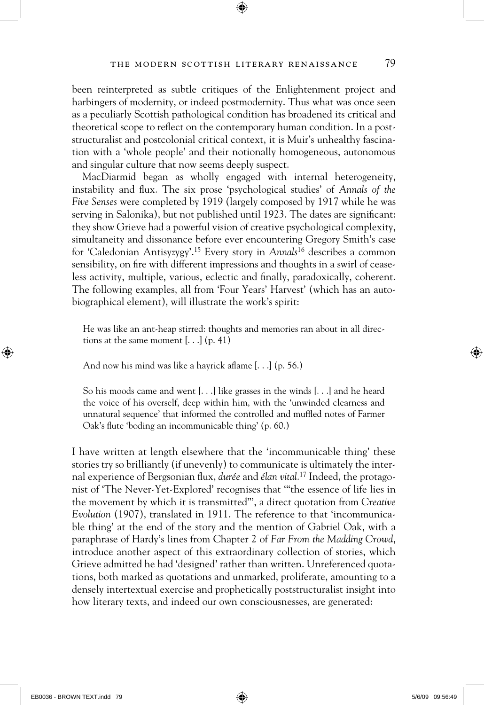been reinterpreted as subtle critiques of the Enlightenment project and harbingers of modernity, or indeed postmodernity. Thus what was once seen as a peculiarly Scottish pathological condition has broadened its critical and theoretical scope to reflect on the contemporary human condition. In a poststructuralist and postcolonial critical context, it is Muir's unhealthy fascination with a 'whole people' and their notionally homogeneous, autonomous and singular culture that now seems deeply suspect.

MacDiarmid began as wholly engaged with internal heterogeneity, instability and flux. The six prose 'psychological studies' of *Annals of the Five Senses* were completed by 1919 (largely composed by 1917 while he was serving in Salonika), but not published until 1923. The dates are significant: they show Grieve had a powerful vision of creative psychological complexity, simultaneity and dissonance before ever encountering Gregory Smith's case for 'Caledonian Antisyzygy'.15 Every story in *Annals*16 describes a common sensibility, on fire with different impressions and thoughts in a swirl of ceaseless activity, multiple, various, eclectic and finally, paradoxically, coherent. The following examples, all from 'Four Years' Harvest' (which has an autobiographical element), will illustrate the work's spirit:

He was like an ant-heap stirred: thoughts and memories ran about in all directions at the same moment  $[...]$  (p. 41)

And now his mind was like a hayrick aflame  $[...]$  (p. 56.)

So his moods came and went [. . .] like grasses in the winds [. . .] and he heard the voice of his overself, deep within him, with the 'unwinded clearness and unnatural sequence' that informed the controlled and muffled notes of Farmer Oak's flute 'boding an incommunicable thing' (p. 60.)

I have written at length elsewhere that the 'incommunicable thing' these stories try so brilliantly (if unevenly) to communicate is ultimately the internal experience of Bergsonian flux, *durée* and élan vital.<sup>17</sup> Indeed, the protagonist of 'The Never-Yet-Explored' recognises that '"the essence of life lies in the movement by which it is transmitted"', a direct quotation from *Creative Evolution* (1907), translated in 1911. The reference to that 'incommunicable thing' at the end of the story and the mention of Gabriel Oak, with a paraphrase of Hardy's lines from Chapter 2 of *Far From the Madding Crowd*, introduce another aspect of this extraordinary collection of stories, which Grieve admitted he had 'designed' rather than written. Unreferenced quotations, both marked as quotations and unmarked, proliferate, amounting to a densely intertextual exercise and prophetically poststructuralist insight into how literary texts, and indeed our own consciousnesses, are generated:

◈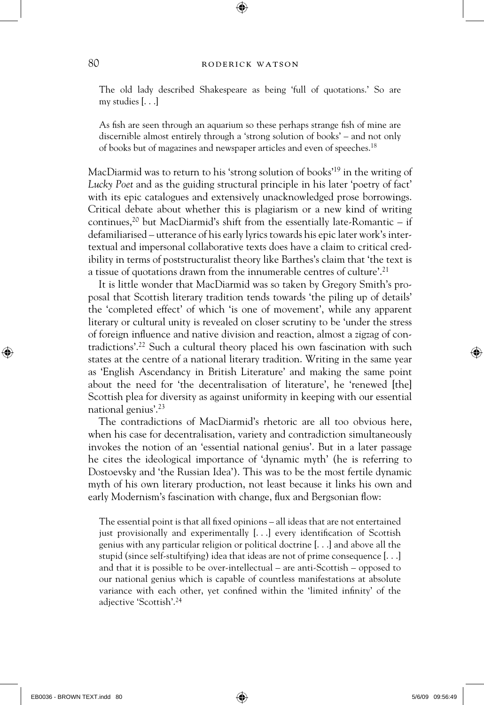⊕

The old lady described Shakespeare as being 'full of quotations.' So are my studies [. . .]

As fish are seen through an aquarium so these perhaps strange fish of mine are discernible almost entirely through a 'strong solution of books' – and not only of books but of magazines and newspaper articles and even of speeches.18

MacDiarmid was to return to his 'strong solution of books'19 in the writing of *Lucky Poet* and as the guiding structural principle in his later 'poetry of fact' with its epic catalogues and extensively unacknowledged prose borrowings. Critical debate about whether this is plagiarism or a new kind of writing continues,<sup>20</sup> but MacDiarmid's shift from the essentially late-Romantic – if defamiliarised – utterance of his early lyrics towards his epic later work's intertextual and impersonal collaborative texts does have a claim to critical credibility in terms of poststructuralist theory like Barthes's claim that 'the text is a tissue of quotations drawn from the innumerable centres of culture'.21

It is little wonder that MacDiarmid was so taken by Gregory Smith's proposal that Scottish literary tradition tends towards 'the piling up of details' the 'completed effect' of which 'is one of movement', while any apparent literary or cultural unity is revealed on closer scrutiny to be 'under the stress of foreign influence and native division and reaction, almost a zigzag of contradictions'.22 Such a cultural theory placed his own fascination with such states at the centre of a national literary tradition. Writing in the same year as 'English Ascendancy in British Literature' and making the same point about the need for 'the decentralisation of literature', he 'renewed [the] Scottish plea for diversity as against uniformity in keeping with our essential national genius'.23

The contradictions of MacDiarmid's rhetoric are all too obvious here, when his case for decentralisation, variety and contradiction simultaneously invokes the notion of an 'essential national genius'. But in a later passage he cites the ideological importance of 'dynamic myth' (he is referring to Dostoevsky and 'the Russian Idea'). This was to be the most fertile dynamic myth of his own literary production, not least because it links his own and early Modernism's fascination with change, flux and Bergsonian flow:

The essential point is that all fixed opinions – all ideas that are not entertained just provisionally and experimentally  $[...]$  every identification of Scottish genius with any particular religion or political doctrine [. . .] and above all the stupid (since self-stultifying) idea that ideas are not of prime consequence [. . .] and that it is possible to be over-intellectual – are anti-Scottish – opposed to our national genius which is capable of countless manifestations at absolute variance with each other, yet confined within the 'limited infinity' of the adjective 'Scottish'.24

⊕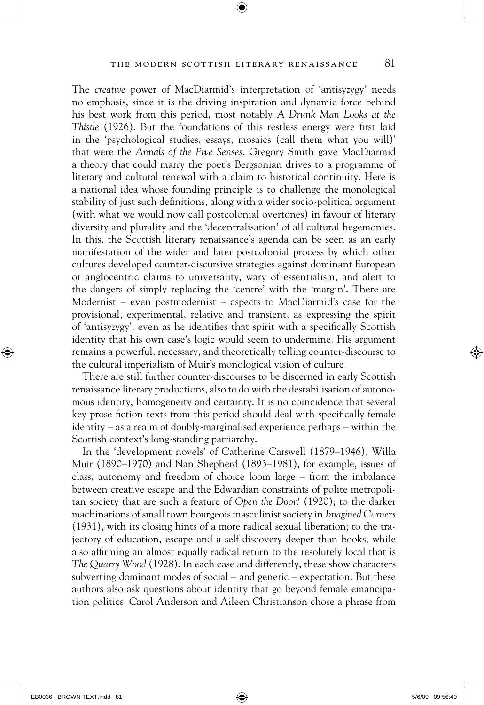The *creative* power of MacDiarmid's interpretation of 'antisyzygy' needs no emphasis, since it is the driving inspiration and dynamic force behind his best work from this period, most notably *A Drunk Man Looks at the Thistle* (1926). But the foundations of this restless energy were first laid in the 'psychological studies, essays, mosaics (call them what you will)' that were the *Annals of the Five Senses*. Gregory Smith gave MacDiarmid a theory that could marry the poet's Bergsonian drives to a programme of literary and cultural renewal with a claim to historical continuity. Here is a national idea whose founding principle is to challenge the monological stability of just such definitions, along with a wider socio-political argument (with what we would now call postcolonial overtones) in favour of literary diversity and plurality and the 'decentralisation' of all cultural hegemonies. In this, the Scottish literary renaissance's agenda can be seen as an early manifestation of the wider and later postcolonial process by which other cultures developed counter-discursive strategies against dominant European or anglocentric claims to universality, wary of essentialism, and alert to the dangers of simply replacing the 'centre' with the 'margin'. There are Modernist – even postmodernist – aspects to MacDiarmid's case for the provisional, experimental, relative and transient, as expressing the spirit of 'antisyzygy', even as he identifies that spirit with a specifically Scottish identity that his own case's logic would seem to undermine. His argument remains a powerful, necessary, and theoretically telling counter-discourse to the cultural imperialism of Muir's monological vision of culture.

There are still further counter-discourses to be discerned in early Scottish renaissance literary productions, also to do with the destabilisation of autonomous identity, homogeneity and certainty. It is no coincidence that several key prose fiction texts from this period should deal with specifically female identity – as a realm of doubly-marginalised experience perhaps – within the Scottish context's long-standing patriarchy.

In the 'development novels' of Catherine Carswell (1879–1946), Willa Muir (1890–1970) and Nan Shepherd (1893–1981), for example, issues of class, autonomy and freedom of choice loom large – from the imbalance between creative escape and the Edwardian constraints of polite metropolitan society that are such a feature of *Open the Door!* (1920); to the darker machinations of small town bourgeois masculinist society in *Imagined Corners* (1931), with its closing hints of a more radical sexual liberation; to the trajectory of education, escape and a self-discovery deeper than books, while also affirming an almost equally radical return to the resolutely local that is *The Quarry Wood* (1928). In each case and differently, these show characters subverting dominant modes of social – and generic – expectation. But these authors also ask questions about identity that go beyond female emancipation politics. Carol Anderson and Aileen Christianson chose a phrase from

⊕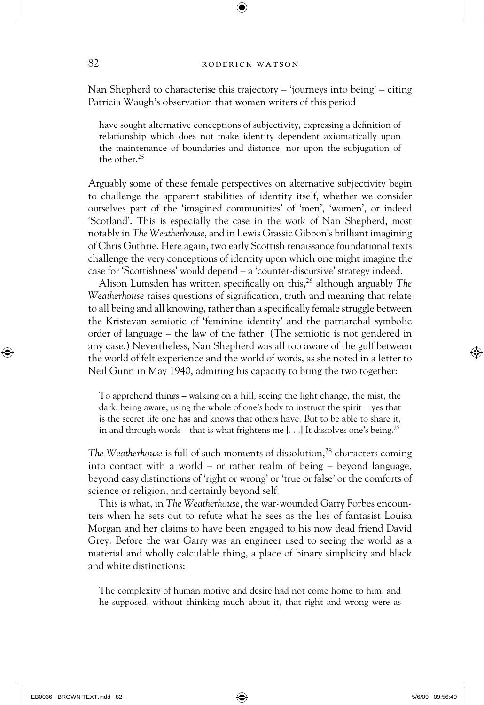⊕

Nan Shepherd to characterise this trajectory – 'journeys into being' – citing Patricia Waugh's observation that women writers of this period

have sought alternative conceptions of subjectivity, expressing a definition of relationship which does not make identity dependent axiomatically upon the maintenance of boundaries and distance, nor upon the subjugation of the other.25

Arguably some of these female perspectives on alternative subjectivity begin to challenge the apparent stabilities of identity itself, whether we consider ourselves part of the 'imagined communities' of 'men', 'women', or indeed 'Scotland'. This is especially the case in the work of Nan Shepherd, most notably in *The Weatherhouse*, and in Lewis Grassic Gibbon's brilliant imagining of Chris Guthrie. Here again, two early Scottish renaissance foundational texts challenge the very conceptions of identity upon which one might imagine the case for 'Scottishness' would depend – a 'counter-discursive' strategy indeed.

Alison Lumsden has written specifically on this,<sup>26</sup> although arguably *The Weatherhouse* raises questions of signification, truth and meaning that relate to all being and all knowing, rather than a specifically female struggle between the Kristevan semiotic of 'feminine identity' and the patriarchal symbolic order of language – the law of the father. (The semiotic is not gendered in any case.) Nevertheless, Nan Shepherd was all too aware of the gulf between the world of felt experience and the world of words, as she noted in a letter to Neil Gunn in May 1940, admiring his capacity to bring the two together:

To apprehend things – walking on a hill, seeing the light change, the mist, the dark, being aware, using the whole of one's body to instruct the spirit – yes that is the secret life one has and knows that others have. But to be able to share it, in and through words – that is what frightens me [ $\dots$ ] It dissolves one's being.<sup>27</sup>

The Weatherhouse is full of such moments of dissolution,<sup>28</sup> characters coming into contact with a world – or rather realm of being – beyond language, beyond easy distinctions of 'right or wrong' or 'true or false' or the comforts of science or religion, and certainly beyond self.

This is what, in *The Weatherhouse*, the war-wounded Garry Forbes encounters when he sets out to refute what he sees as the lies of fantasist Louisa Morgan and her claims to have been engaged to his now dead friend David Grey. Before the war Garry was an engineer used to seeing the world as a material and wholly calculable thing, a place of binary simplicity and black and white distinctions:

The complexity of human motive and desire had not come home to him, and he supposed, without thinking much about it, that right and wrong were as

⊕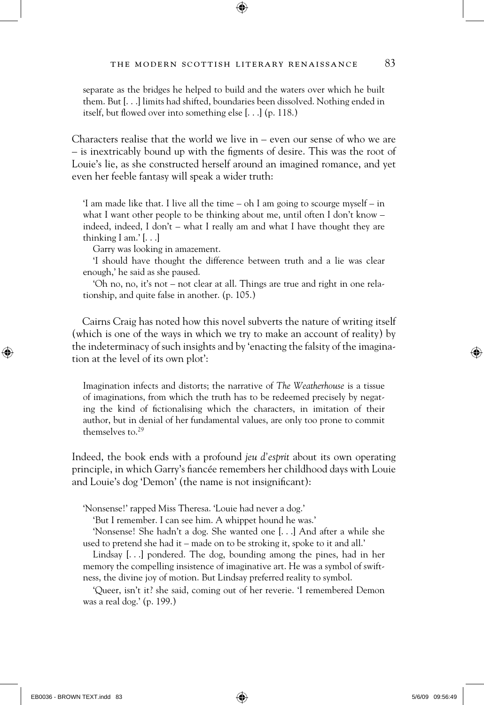separate as the bridges he helped to build and the waters over which he built them. But [. . .] limits had shifted, boundaries been dissolved. Nothing ended in itself, but flowed over into something else  $[...]$  (p. 118.)

Characters realise that the world we live in  $-$  even our sense of who we are  $-$  is inextricably bound up with the figments of desire. This was the root of Louie's lie, as she constructed herself around an imagined romance, and yet even her feeble fantasy will speak a wider truth:

'I am made like that. I live all the time – oh I am going to scourge myself – in what I want other people to be thinking about me, until often I don't know – indeed, indeed, I don't – what I really am and what I have thought they are thinking I am.'  $[...]$ 

Garry was looking in amazement.

⊕

 'I should have thought the difference between truth and a lie was clear enough,' he said as she paused.

 'Oh no, no, it's not – not clear at all. Things are true and right in one relationship, and quite false in another. (p. 105.)

Cairns Craig has noted how this novel subverts the nature of writing itself (which is one of the ways in which we try to make an account of reality) by the indeterminacy of such insights and by 'enacting the falsity of the imagination at the level of its own plot':

Imagination infects and distorts; the narrative of *The Weatherhouse* is a tissue of imaginations, from which the truth has to be redeemed precisely by negating the kind of fictionalising which the characters, in imitation of their author, but in denial of her fundamental values, are only too prone to commit themselves to.29

Indeed, the book ends with a profound *jeu d'esprit* about its own operating principle, in which Garry's fiancée remembers her childhood days with Louie and Louie's dog 'Demon' (the name is not insignificant):

'Nonsense!' rapped Miss Theresa. 'Louie had never a dog.'

'But I remember. I can see him. A whippet hound he was.'

 'Nonsense! She hadn't a dog. She wanted one [. . .] And after a while she used to pretend she had it – made on to be stroking it, spoke to it and all.'

 Lindsay [. . .] pondered. The dog, bounding among the pines, had in her memory the compelling insistence of imaginative art. He was a symbol of swiftness, the divine joy of motion. But Lindsay preferred reality to symbol.

'Queer, isn't it? she said, coming out of her reverie. 'I remembered Demon was a real dog.' (p. 199.)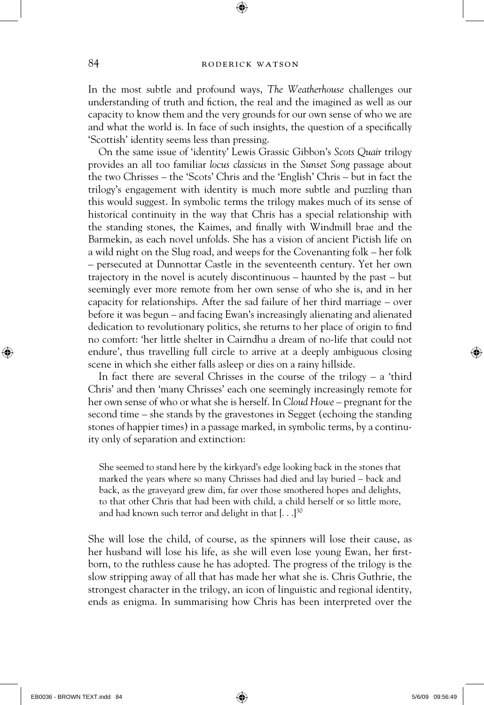⊕

In the most subtle and profound ways, *The Weatherhouse* challenges our understanding of truth and fiction, the real and the imagined as well as our capacity to know them and the very grounds for our own sense of who we are and what the world is. In face of such insights, the question of a specifically 'Scottish' identity seems less than pressing.

On the same issue of 'identity' Lewis Grassic Gibbon's *Scots Quair* trilogy provides an all too familiar *locus classicus* in the *Sunset Song* passage about the two Chrisses – the 'Scots' Chris and the 'English' Chris – but in fact the trilogy's engagement with identity is much more subtle and puzzling than this would suggest. In symbolic terms the trilogy makes much of its sense of historical continuity in the way that Chris has a special relationship with the standing stones, the Kaimes, and finally with Windmill brae and the Barmekin, as each novel unfolds. She has a vision of ancient Pictish life on a wild night on the Slug road, and weeps for the Covenanting folk – her folk – persecuted at Dunnottar Castle in the seventeenth century. Yet her own trajectory in the novel is acutely discontinuous – haunted by the past – but seemingly ever more remote from her own sense of who she is, and in her capacity for relationships. After the sad failure of her third marriage – over before it was begun – and facing Ewan's increasingly alienating and alienated dedication to revolutionary politics, she returns to her place of origin to find no comfort: 'her little shelter in Cairndhu a dream of no-life that could not endure', thus travelling full circle to arrive at a deeply ambiguous closing scene in which she either falls asleep or dies on a rainy hillside.

In fact there are several Chrisses in the course of the trilogy – a 'third Chris' and then 'many Chrisses' each one seemingly increasingly remote for her own sense of who or what she is herself. In *Cloud Howe* – pregnant for the second time – she stands by the gravestones in Segget (echoing the standing stones of happier times) in a passage marked, in symbolic terms, by a continuity only of separation and extinction:

She seemed to stand here by the kirkyard's edge looking back in the stones that marked the years where so many Chrisses had died and lay buried – back and back, as the graveyard grew dim, far over those smothered hopes and delights, to that other Chris that had been with child, a child herself or so little more, and had known such terror and delight in that  $[...]^{30}$ 

She will lose the child, of course, as the spinners will lose their cause, as her husband will lose his life, as she will even lose young Ewan, her firstborn, to the ruthless cause he has adopted. The progress of the trilogy is the slow stripping away of all that has made her what she is. Chris Guthrie, the strongest character in the trilogy, an icon of linguistic and regional identity, ends as enigma. In summarising how Chris has been interpreted over the

⊕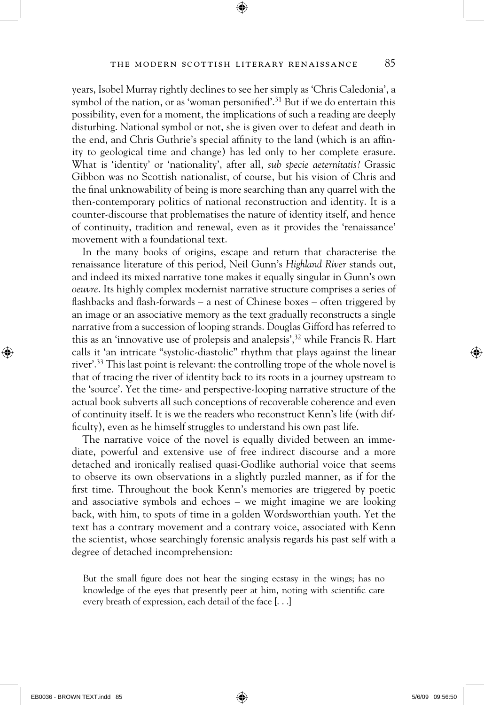years, Isobel Murray rightly declines to see her simply as 'Chris Caledonia', a symbol of the nation, or as 'woman personified'.<sup>31</sup> But if we do entertain this possibility, even for a moment, the implications of such a reading are deeply disturbing. National symbol or not, she is given over to defeat and death in the end, and Chris Guthrie's special affinity to the land (which is an affinity to geological time and change) has led only to her complete erasure. What is 'identity' or 'nationality', after all, *sub specie aeternitatis*? Grassic Gibbon was no Scottish nationalist, of course, but his vision of Chris and the final unknowability of being is more searching than any quarrel with the then-contemporary politics of national reconstruction and identity. It is a counter-discourse that problematises the nature of identity itself, and hence of continuity, tradition and renewal, even as it provides the 'renaissance' movement with a foundational text.

In the many books of origins, escape and return that characterise the renaissance literature of this period, Neil Gunn's *Highland River* stands out, and indeed its mixed narrative tone makes it equally singular in Gunn's own *oeuvre*. Its highly complex modernist narrative structure comprises a series of flashbacks and flash-forwards – a nest of Chinese boxes – often triggered by an image or an associative memory as the text gradually reconstructs a single narrative from a succession of looping strands. Douglas Gifford has referred to this as an 'innovative use of prolepsis and analepsis',<sup>32</sup> while Francis R. Hart calls it 'an intricate "systolic-diastolic" rhythm that plays against the linear river'.33 This last point is relevant: the controlling trope of the whole novel is that of tracing the river of identity back to its roots in a journey upstream to the 'source'. Yet the time- and perspective-looping narrative structure of the actual book subverts all such conceptions of recoverable coherence and even of continuity itself. It is we the readers who reconstruct Kenn's life (with difficulty), even as he himself struggles to understand his own past life.

The narrative voice of the novel is equally divided between an immediate, powerful and extensive use of free indirect discourse and a more detached and ironically realised quasi-Godlike authorial voice that seems to observe its own observations in a slightly puzzled manner, as if for the first time. Throughout the book Kenn's memories are triggered by poetic and associative symbols and echoes – we might imagine we are looking back, with him, to spots of time in a golden Wordsworthian youth. Yet the text has a contrary movement and a contrary voice, associated with Kenn the scientist, whose searchingly forensic analysis regards his past self with a degree of detached incomprehension:

But the small figure does not hear the singing ecstasy in the wings; has no knowledge of the eyes that presently peer at him, noting with scientific care every breath of expression, each detail of the face [. . .]

◈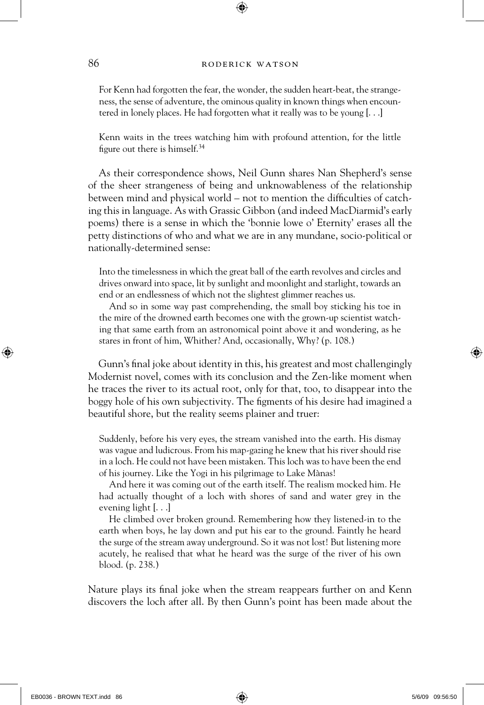⊕

For Kenn had forgotten the fear, the wonder, the sudden heart-beat, the strangeness, the sense of adventure, the ominous quality in known things when encountered in lonely places. He had forgotten what it really was to be young [. . .]

Kenn waits in the trees watching him with profound attention, for the little figure out there is himself.<sup>34</sup>

As their correspondence shows, Neil Gunn shares Nan Shepherd's sense of the sheer strangeness of being and unknowableness of the relationship between mind and physical world – not to mention the difficulties of catching this in language. As with Grassic Gibbon (and indeed MacDiarmid's early poems) there is a sense in which the 'bonnie lowe o' Eternity' erases all the petty distinctions of who and what we are in any mundane, socio-political or nationally-determined sense:

Into the timelessness in which the great ball of the earth revolves and circles and drives onward into space, lit by sunlight and moonlight and starlight, towards an end or an endlessness of which not the slightest glimmer reaches us.

 And so in some way past comprehending, the small boy sticking his toe in the mire of the drowned earth becomes one with the grown-up scientist watching that same earth from an astronomical point above it and wondering, as he stares in front of him, Whither? And, occasionally, Why? (p. 108.)

Gunn's final joke about identity in this, his greatest and most challengingly Modernist novel, comes with its conclusion and the Zen-like moment when he traces the river to its actual root, only for that, too, to disappear into the boggy hole of his own subjectivity. The figments of his desire had imagined a beautiful shore, but the reality seems plainer and truer:

Suddenly, before his very eyes, the stream vanished into the earth. His dismay was vague and ludicrous. From his map-gazing he knew that his river should rise in a loch. He could not have been mistaken. This loch was to have been the end of his journey. Like the Yogi in his pilgrimage to Lake Mànas!

 And here it was coming out of the earth itself. The realism mocked him. He had actually thought of a loch with shores of sand and water grey in the evening light [. . .]

 He climbed over broken ground. Remembering how they listened-in to the earth when boys, he lay down and put his ear to the ground. Faintly he heard the surge of the stream away underground. So it was not lost! But listening more acutely, he realised that what he heard was the surge of the river of his own blood. (p. 238.)

Nature plays its final joke when the stream reappears further on and Kenn discovers the loch after all. By then Gunn's point has been made about the

⊕